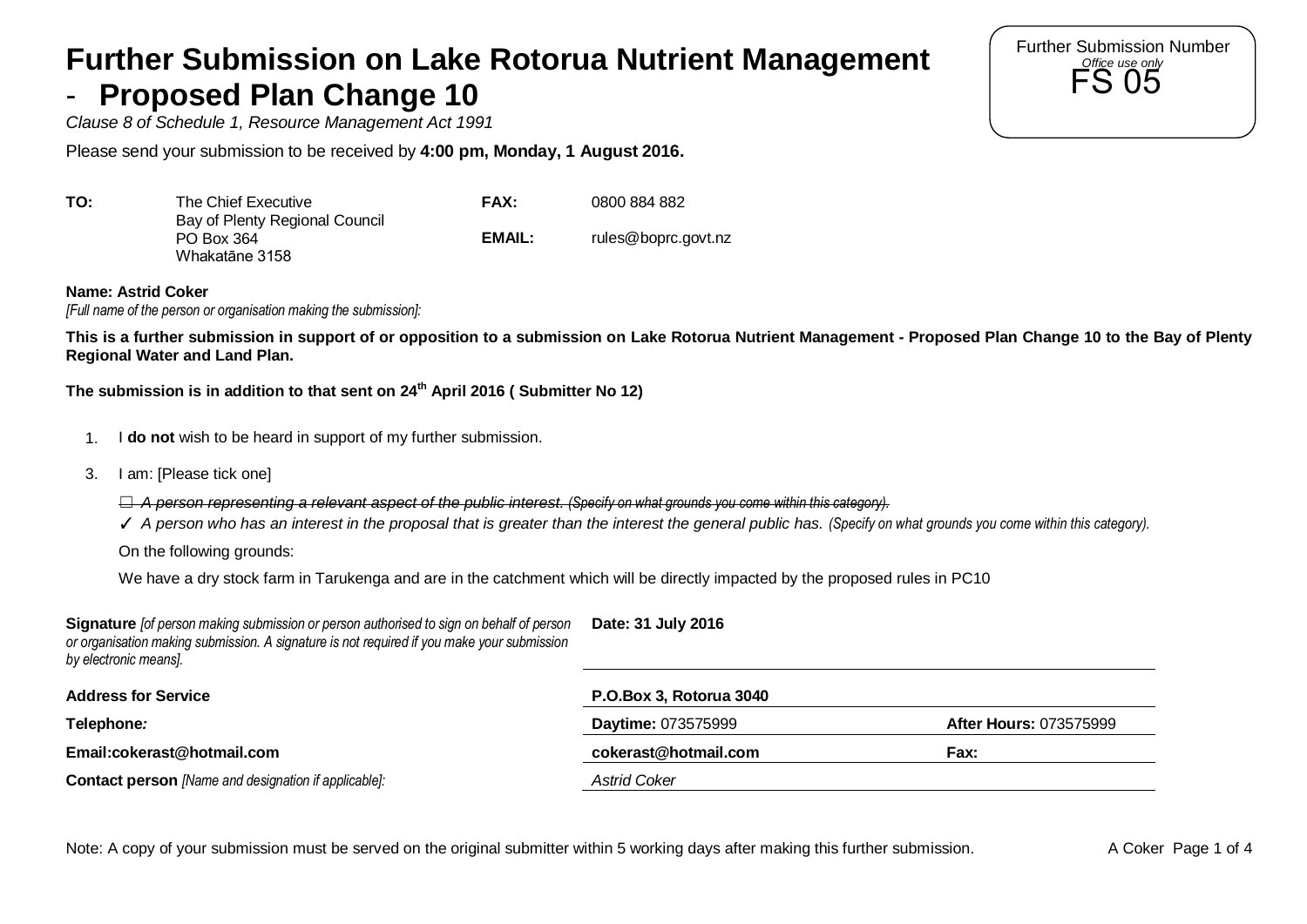## **Further Submission on Lake Rotorua Nutrient Management**  - **Proposed Plan Change 10**

*Clause 8 of Schedule 1, Resource Management Act 1991*

Please send your submission to be received by **4:00 pm, Monday, 1 August 2016.** 

| TO: | The Chief Executive                                            | <b>FAX:</b> | 0800 884 882        |
|-----|----------------------------------------------------------------|-------------|---------------------|
|     | Bay of Plenty Regional Council<br>PO Box 364<br>Whakatāne 3158 | EMAIL:      | rules@boprc.govt.nz |

**Name: Astrid Coker** 

*[Full name of the person or organisation making the submission]:*

**This is a further submission in support of or opposition to a submission on Lake Rotorua Nutrient Management - Proposed Plan Change 10 to the Bay of Plenty Regional Water and Land Plan.** 

**The submission is in addition to that sent on 24th April 2016 ( Submitter No 12)** 

- 1. I **do not** wish to be heard in support of my further submission.
- 3. I am: [Please tick one]
	- ☐ *A person representing a relevant aspect of the public interest. (Specify on what grounds you come within this category).*
	- ✓ *A person who has an interest in the proposal that is greater than the interest the general public has. (Specify on what grounds you come within this category).*

On the following grounds:

We have a dry stock farm in Tarukenga and are in the catchment which will be directly impacted by the proposed rules in PC10

| Signature fof person making submission or person authorised to sign on behalf of person<br>or organisation making submission. A signature is not required if you make your submission<br>by electronic means]. | Date: 31 July 2016      |                               |
|----------------------------------------------------------------------------------------------------------------------------------------------------------------------------------------------------------------|-------------------------|-------------------------------|
| <b>Address for Service</b>                                                                                                                                                                                     | P.O.Box 3, Rotorua 3040 |                               |
| Telephone:                                                                                                                                                                                                     | Daytime: 073575999      | <b>After Hours: 073575999</b> |
| Email:cokerast@hotmail.com                                                                                                                                                                                     | cokerast@hotmail.com    | <b>Fax:</b>                   |
| <b>Contact person</b> [Name and designation if applicable]:                                                                                                                                                    | <b>Astrid Coker</b>     |                               |

Note: A copy of your submission must be served on the original submitter within 5 working days after making this further submission. A Coker Page 1 of 4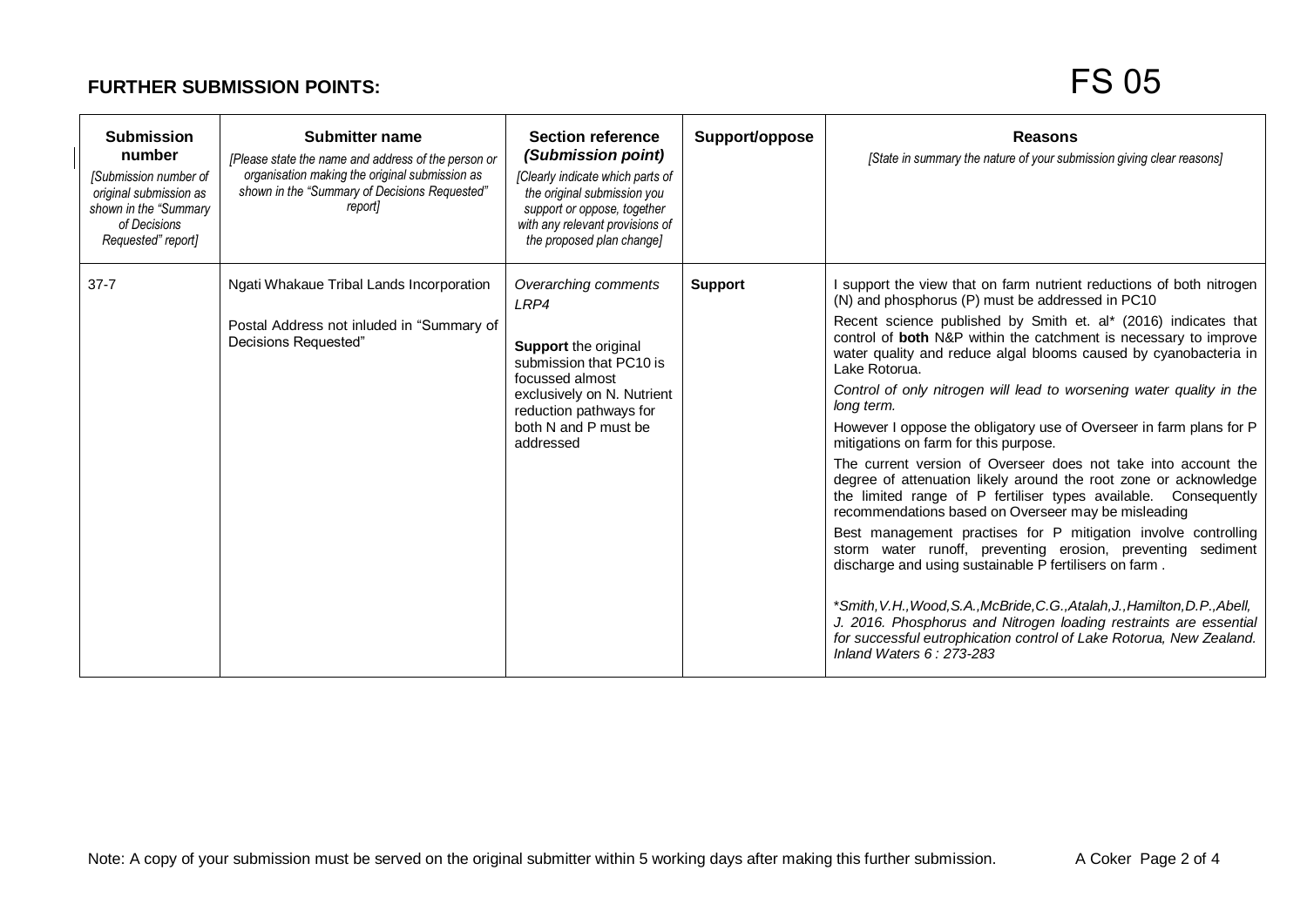## **FURTHER SUBMISSION POINTS:**

## FS 05

| <b>Submission</b><br>number<br>[Submission number of<br>original submission as<br>shown in the "Summary<br>of Decisions<br>Requested" report] | <b>Submitter name</b><br>[Please state the name and address of the person or<br>organisation making the original submission as<br>shown in the "Summary of Decisions Requested"<br>report | <b>Section reference</b><br>(Submission point)<br>[Clearly indicate which parts of<br>the original submission you<br>support or oppose, together<br>with any relevant provisions of<br>the proposed plan change] | Support/oppose | <b>Reasons</b><br>[State in summary the nature of your submission giving clear reasons]                                                                                                                                                                                                                                                                                                                                                                                                                                                                                                                                                                                                                                                                                                                                                                                                                                                                                                                                                                                                                                                                                                                                                                                       |
|-----------------------------------------------------------------------------------------------------------------------------------------------|-------------------------------------------------------------------------------------------------------------------------------------------------------------------------------------------|------------------------------------------------------------------------------------------------------------------------------------------------------------------------------------------------------------------|----------------|-------------------------------------------------------------------------------------------------------------------------------------------------------------------------------------------------------------------------------------------------------------------------------------------------------------------------------------------------------------------------------------------------------------------------------------------------------------------------------------------------------------------------------------------------------------------------------------------------------------------------------------------------------------------------------------------------------------------------------------------------------------------------------------------------------------------------------------------------------------------------------------------------------------------------------------------------------------------------------------------------------------------------------------------------------------------------------------------------------------------------------------------------------------------------------------------------------------------------------------------------------------------------------|
| $37 - 7$                                                                                                                                      | Ngati Whakaue Tribal Lands Incorporation<br>Postal Address not inluded in "Summary of<br>Decisions Requested"                                                                             | Overarching comments<br>LRP4<br>Support the original<br>submission that PC10 is<br>focussed almost<br>exclusively on N. Nutrient<br>reduction pathways for<br>both N and P must be<br>addressed                  | <b>Support</b> | I support the view that on farm nutrient reductions of both nitrogen<br>(N) and phosphorus (P) must be addressed in PC10<br>Recent science published by Smith et. al* (2016) indicates that<br>control of both N&P within the catchment is necessary to improve<br>water quality and reduce algal blooms caused by cyanobacteria in<br>Lake Rotorua.<br>Control of only nitrogen will lead to worsening water quality in the<br>long term.<br>However I oppose the obligatory use of Overseer in farm plans for P<br>mitigations on farm for this purpose.<br>The current version of Overseer does not take into account the<br>degree of attenuation likely around the root zone or acknowledge<br>the limited range of P fertiliser types available. Consequently<br>recommendations based on Overseer may be misleading<br>Best management practises for P mitigation involve controlling<br>storm water runoff, preventing erosion, preventing sediment<br>discharge and using sustainable P fertilisers on farm.<br>*Smith, V.H., Wood, S.A., McBride, C.G., Atalah, J., Hamilton, D.P., Abell,<br>J. 2016. Phosphorus and Nitrogen loading restraints are essential<br>for successful eutrophication control of Lake Rotorua, New Zealand.<br>Inland Waters $6:273-283$ |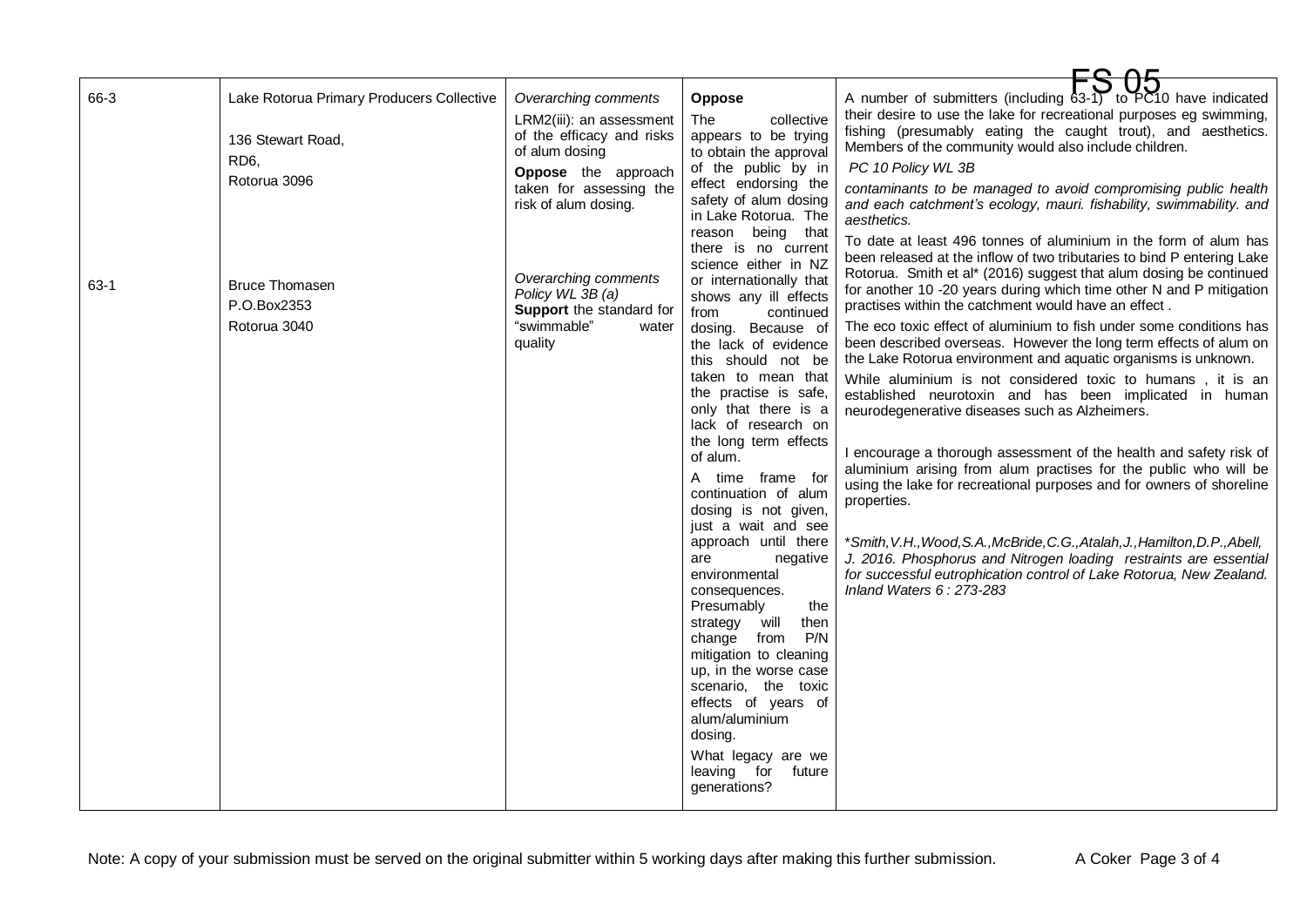| 66-3<br>$63-1$ | Lake Rotorua Primary Producers Collective<br>136 Stewart Road,<br>RD <sub>6</sub><br>Rotorua 3096<br><b>Bruce Thomasen</b><br>P.O.Box2353 | Overarching comments<br>LRM2(iii): an assessment<br>of the efficacy and risks<br>of alum dosing<br>Oppose the approach<br>taken for assessing the<br>risk of alum dosing.<br>Overarching comments<br>Policy WL 3B (a)<br>Support the standard for | <b>Oppose</b><br>The<br>collective<br>appears to be trying<br>to obtain the approval<br>of the public by in<br>effect endorsing the<br>safety of alum dosing<br>in Lake Rotorua. The<br>reason being that<br>there is no current<br>science either in NZ<br>or internationally that<br>shows any ill effects<br>from<br>continued                                                                                                                                                                                                                                                                                                            | A number of submitters (including 63-1) to PC10 have indicated<br>their desire to use the lake for recreational purposes eg swimming,<br>fishing (presumably eating the caught trout), and aesthetics.<br>Members of the community would also include children.<br>PC 10 Policy WL 3B<br>contaminants to be managed to avoid compromising public health<br>and each catchment's ecology, mauri. fishability, swimmability. and<br>aesthetics.<br>To date at least 496 tonnes of aluminium in the form of alum has<br>been released at the inflow of two tributaries to bind P entering Lake<br>Rotorua. Smith et al* (2016) suggest that alum dosing be continued<br>for another 10 -20 years during which time other N and P mitigation<br>practises within the catchment would have an effect.                                                                               |
|----------------|-------------------------------------------------------------------------------------------------------------------------------------------|---------------------------------------------------------------------------------------------------------------------------------------------------------------------------------------------------------------------------------------------------|----------------------------------------------------------------------------------------------------------------------------------------------------------------------------------------------------------------------------------------------------------------------------------------------------------------------------------------------------------------------------------------------------------------------------------------------------------------------------------------------------------------------------------------------------------------------------------------------------------------------------------------------|--------------------------------------------------------------------------------------------------------------------------------------------------------------------------------------------------------------------------------------------------------------------------------------------------------------------------------------------------------------------------------------------------------------------------------------------------------------------------------------------------------------------------------------------------------------------------------------------------------------------------------------------------------------------------------------------------------------------------------------------------------------------------------------------------------------------------------------------------------------------------------|
|                | Rotorua 3040                                                                                                                              | "swimmable"<br>water<br>quality                                                                                                                                                                                                                   | dosing. Because of<br>the lack of evidence<br>this should not be<br>taken to mean that<br>the practise is safe,<br>only that there is a<br>lack of research on<br>the long term effects<br>of alum.<br>A time frame for<br>continuation of alum<br>dosing is not given,<br>just a wait and see<br>approach until there<br>are<br>negative<br>environmental<br>consequences.<br>the<br>Presumably<br>strategy will<br>then<br>P/N<br>change from<br>mitigation to cleaning<br>up, in the worse case<br>scenario, the toxic<br>effects of years of<br>alum/aluminium<br>dosing.<br>What legacy are we<br>leaving for<br>future<br>generations? | The eco toxic effect of aluminium to fish under some conditions has<br>been described overseas. However the long term effects of alum on<br>the Lake Rotorua environment and aquatic organisms is unknown.<br>While aluminium is not considered toxic to humans, it is an<br>established neurotoxin and has been implicated in human<br>neurodegenerative diseases such as Alzheimers.<br>I encourage a thorough assessment of the health and safety risk of<br>aluminium arising from alum practises for the public who will be<br>using the lake for recreational purposes and for owners of shoreline<br>properties.<br>*Smith, V.H., Wood, S.A., McBride, C.G., Atalah, J., Hamilton, D.P., Abell,<br>J. 2016. Phosphorus and Nitrogen loading restraints are essential<br>for successful eutrophication control of Lake Rotorua, New Zealand.<br>Inland Waters 6: 273-283 |